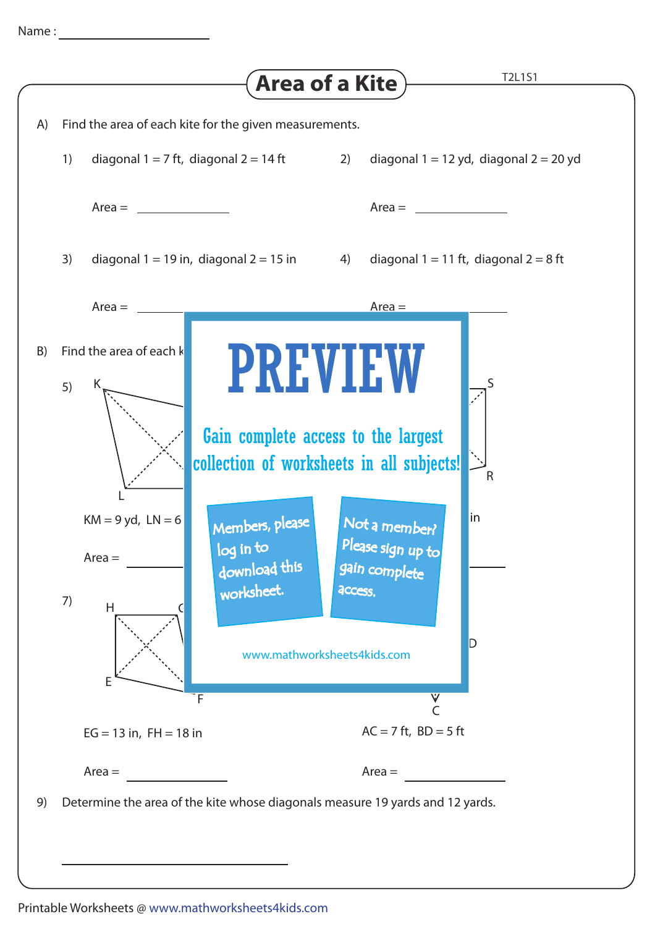